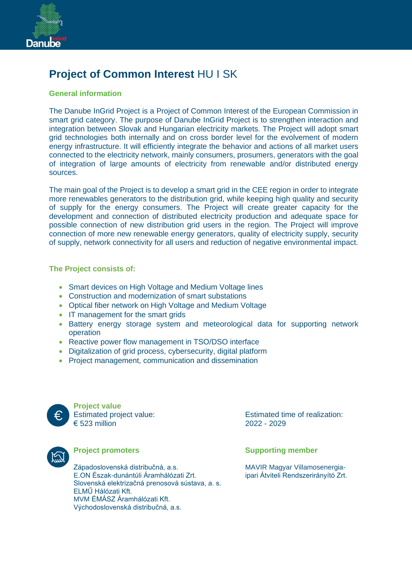

# **Project of Common Interest** HU I SK

#### **General information**

The Danube InGrid Project is a Project of Common Interest of the European Commission in smart grid category. The purpose of Danube InGrid Project is to strengthen interaction and integration between Slovak and Hungarian electricity markets. The Project will adopt smart grid technologies both internally and on cross border level for the evolvement of modern energy infrastructure. It will efficiently integrate the behavior and actions of all market users connected to the electricity network, mainly consumers, prosumers, generators with the goal of integration of large amounts of electricity from renewable and/or distributed energy sources.

The main goal of the Project is to develop a smart grid in the CEE region in order to integrate more renewables generators to the distribution grid, while keeping high quality and security of supply for the energy consumers. The Project will create greater capacity for the development and connection of distributed electricity production and adequate space for possible connection of new distribution grid users in the region. The Project will improve connection of more new renewable energy generators, quality of electricity supply, security of supply, network connectivity for all users and reduction of negative environmental impact.

#### **The Project consists of:**

- Smart devices on High Voltage and Medium Voltage lines
- Construction and modernization of smart substations
- Optical fiber network on High Voltage and Medium Voltage
- IT management for the smart grids
- Battery energy storage system and meteorological data for supporting network operation
- Reactive power flow management in TSO/DSO interface
- Digitalization of grid process, cybersecurity, digital platform
- Project management, communication and dissemination



**Project value**<br> **Estimated project value:** 

Západoslovenská distribučná, a.s. MAVIR Magyar Villamosenergia-<br>E.ON Észak-dunántúli Áramhálózati Zrt. en magyari Átviteli Rendszerirányító Zrt. E.ON Észak-dunántúli Áramhálózati Zrt. Slovenská elektrizačná prenosová sústava, a. s. ELMŰ Hálózati Kft. MVM ÉMÁSZ Áramhálózati Kft. Východoslovenská distribučná, a.s.

Estimated project value:<br>  $\epsilon$  523 million<br>  $\epsilon$  523 million<br>
2022 - 2029 € 523 million 2022 - 2029

#### **Project promoters Supporting member**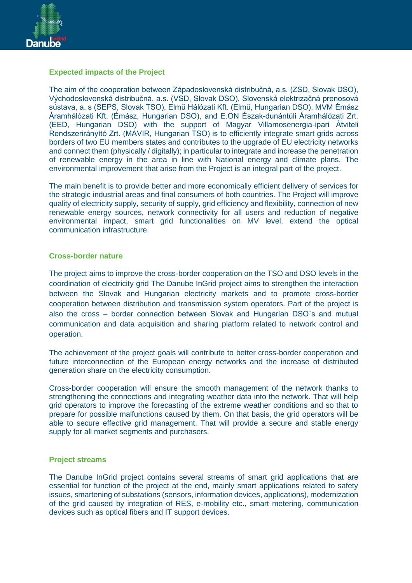

#### **Expected impacts of the Project**

The aim of the cooperation between Západoslovenská distribučná, a.s. (ZSD, Slovak DSO), Východoslovenská distribučná, a.s. (VSD, Slovak DSO), Slovenská elektrizačná prenosová sústava, a. s (SEPS, Slovak TSO), Elmű Hálózati Kft. (Elmű, Hungarian DSO), MVM Émász Áramhálózati Kft. (Émász, Hungarian DSO), and E.ON Észak-dunántúli Áramhálózati Zrt. (EED, Hungarian DSO) with the support of Magyar Villamosenergia-ipari Átviteli Rendszerirányító Zrt. (MAVIR, Hungarian TSO) is to efficiently integrate smart grids across borders of two EU members states and contributes to the upgrade of EU electricity networks and connect them (physically / digitally); in particular to integrate and increase the penetration of renewable energy in the area in line with National energy and climate plans. The environmental improvement that arise from the Project is an integral part of the project.

The main benefit is to provide better and more economically efficient delivery of services for the strategic industrial areas and final consumers of both countries. The Project will improve quality of electricity supply, security of supply, grid efficiency and flexibility, connection of new renewable energy sources, network connectivity for all users and reduction of negative environmental impact, smart grid functionalities on MV level, extend the optical communication infrastructure.

#### **Cross-border nature**

The project aims to improve the cross-border cooperation on the TSO and DSO levels in the coordination of electricity grid The Danube InGrid project aims to strengthen the interaction between the Slovak and Hungarian electricity markets and to promote cross-border cooperation between distribution and transmission system operators. Part of the project is also the cross – border connection between Slovak and Hungarian DSO´s and mutual communication and data acquisition and sharing platform related to network control and operation.

The achievement of the project goals will contribute to better cross-border cooperation and future interconnection of the European energy networks and the increase of distributed generation share on the electricity consumption.

Cross-border cooperation will ensure the smooth management of the network thanks to strengthening the connections and integrating weather data into the network. That will help grid operators to improve the forecasting of the extreme weather conditions and so that to prepare for possible malfunctions caused by them. On that basis, the grid operators will be able to secure effective grid management. That will provide a secure and stable energy supply for all market segments and purchasers.

#### **Project streams**

The Danube InGrid project contains several streams of smart grid applications that are essential for function of the project at the end, mainly smart applications related to safety issues, smartening of substations (sensors, information devices, applications), modernization of the grid caused by integration of RES, e-mobility etc., smart metering, communication devices such as optical fibers and IT support devices.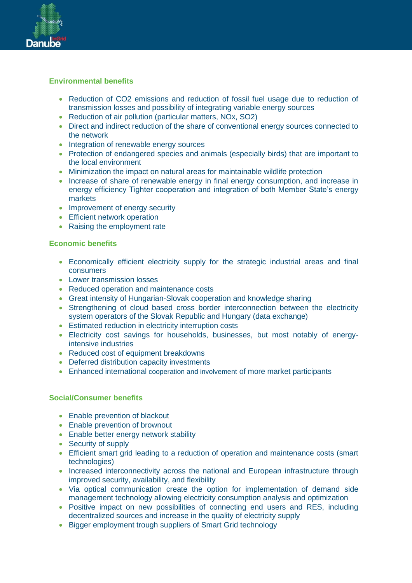

# **Environmental benefits**

- Reduction of CO2 emissions and reduction of fossil fuel usage due to reduction of transmission losses and possibility of integrating variable energy sources
- Reduction of air pollution (particular matters, NOx, SO2)
- Direct and indirect reduction of the share of conventional energy sources connected to the network
- Integration of renewable energy sources
- Protection of endangered species and animals (especially birds) that are important to the local environment
- Minimization the impact on natural areas for maintainable wildlife protection
- Increase of share of renewable energy in final energy consumption, and increase in energy efficiency Tighter cooperation and integration of both Member State's energy markets
- Improvement of energy security
- Efficient network operation
- Raising the employment rate

#### **Economic benefits**

- Economically efficient electricity supply for the strategic industrial areas and final consumers
- Lower transmission losses
- Reduced operation and maintenance costs
- Great intensity of Hungarian-Slovak cooperation and knowledge sharing
- Strengthening of cloud based cross border interconnection between the electricity system operators of the Slovak Republic and Hungary (data exchange)
- Estimated reduction in electricity interruption costs
- Electricity cost savings for households, businesses, but most notably of energyintensive industries
- Reduced cost of equipment breakdowns
- Deferred distribution capacity investments
- Enhanced international cooperation and involvement of more market participants

#### **Social/Consumer benefits**

- Enable prevention of blackout
- Enable prevention of brownout
- Enable better energy network stability
- Security of supply
- Efficient smart grid leading to a reduction of operation and maintenance costs (smart technologies)
- Increased interconnectivity across the national and European infrastructure through improved security, availability, and flexibility
- Via optical communication create the option for implementation of demand side management technology allowing electricity consumption analysis and optimization
- Positive impact on new possibilities of connecting end users and RES, including decentralized sources and increase in the quality of electricity supply
- Bigger employment trough suppliers of Smart Grid technology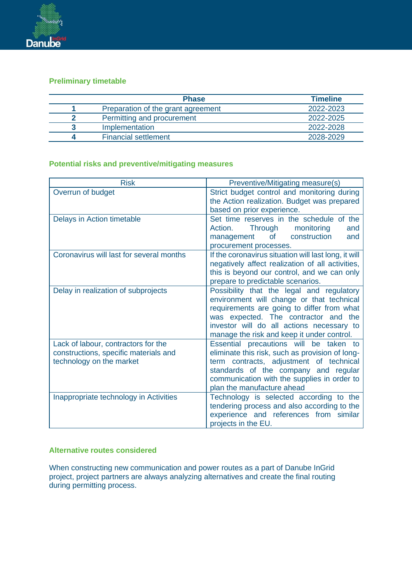

# **Preliminary timetable**

| <b>Phase</b>                       | <b>Timeline</b> |
|------------------------------------|-----------------|
| Preparation of the grant agreement | 2022-2023       |
| Permitting and procurement         | 2022-2025       |
| Implementation                     | 2022-2028       |
| <b>Financial settlement</b>        | 2028-2029       |

# **Potential risks and preventive/mitigating measures**

| <b>Risk</b>                                                                                              | Preventive/Mitigating measure(s)                                                                                                                                                                                                                                        |
|----------------------------------------------------------------------------------------------------------|-------------------------------------------------------------------------------------------------------------------------------------------------------------------------------------------------------------------------------------------------------------------------|
| Overrun of budget                                                                                        | Strict budget control and monitoring during<br>the Action realization. Budget was prepared<br>based on prior experience.                                                                                                                                                |
| Delays in Action timetable                                                                               | Set time reserves in the schedule of the<br>Through<br>Action.<br>monitoring<br>and<br>of<br>construction<br>management<br>and<br>procurement processes.                                                                                                                |
| Coronavirus will last for several months                                                                 | If the coronavirus situation will last long, it will<br>negatively affect realization of all activities,<br>this is beyond our control, and we can only<br>prepare to predictable scenarios.                                                                            |
| Delay in realization of subprojects                                                                      | Possibility that the legal and regulatory<br>environment will change or that technical<br>requirements are going to differ from what<br>was expected. The contractor and the<br>investor will do all actions necessary to<br>manage the risk and keep it under control. |
| Lack of labour, contractors for the<br>constructions, specific materials and<br>technology on the market | Essential precautions will be taken to<br>eliminate this risk, such as provision of long-<br>term contracts, adjustment of technical<br>standards of the company and regular<br>communication with the supplies in order to<br>plan the manufacture ahead               |
| Inappropriate technology in Activities                                                                   | Technology is selected according to the<br>tendering process and also according to the<br>experience and references from similar<br>projects in the EU.                                                                                                                 |

### **Alternative routes considered**

When constructing new communication and power routes as a part of Danube InGrid project, project partners are always analyzing alternatives and create the final routing during permitting process.